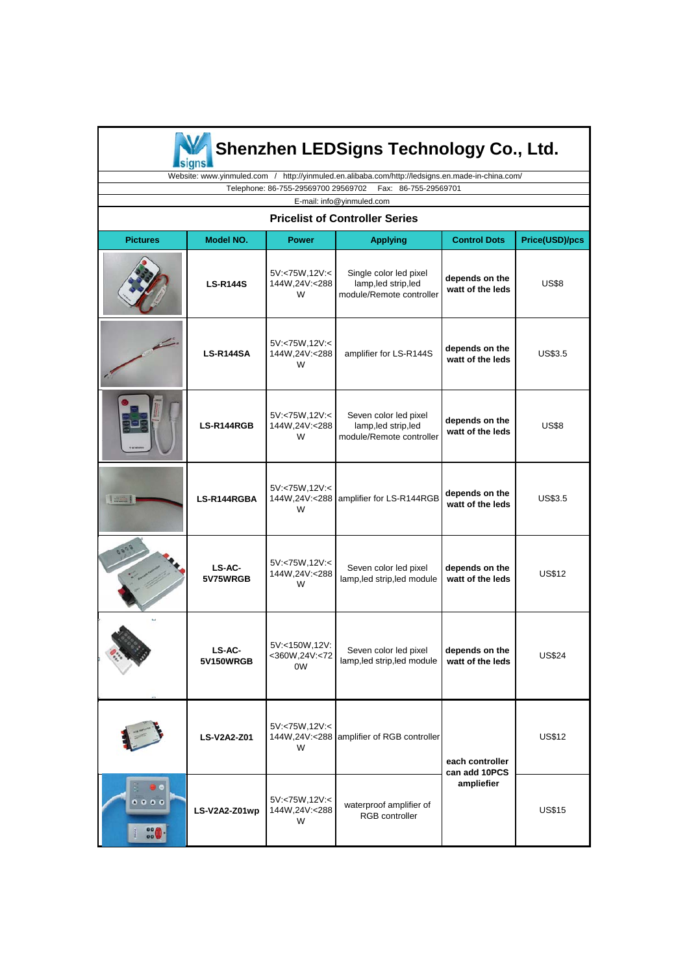

# **Shenzhen LEDSigns Technology Co., Ltd.**

 Website: www.yinmuled.com / http://yinmuled.en.alibaba.com/http://ledsigns.en.made-in-china.com/ Telephone: 86-755-29569700 29569702 Fax: 86-755-29569701

E-mail: info@yinmuled.com

#### **Pricelist of Controller Series Pricelist of Controller**

| <b>Pictures</b>                                   | Model NO.           | <b>Power</b>                           | <b>Applying</b>                                                            | <b>Control Dots</b>                            | Price(USD)/pcs |
|---------------------------------------------------|---------------------|----------------------------------------|----------------------------------------------------------------------------|------------------------------------------------|----------------|
|                                                   | <b>LS-R144S</b>     | 5V:<75W,12V:<<br>144W,24V:<288<br>W    | Single color led pixel<br>lamp, led strip, led<br>module/Remote controller | depends on the<br>watt of the leds             | <b>US\$8</b>   |
|                                                   | <b>LS-R144SA</b>    | 5V:<75W,12V:<<br>144W,24V:<288<br>W    | amplifier for LS-R144S                                                     | depends on the<br>watt of the leds             | <b>US\$3.5</b> |
|                                                   | LS-R144RGB          | 5V:<75W,12V:<<br>144W,24V:<288<br>W    | Seven color led pixel<br>lamp, led strip, led<br>module/Remote controller  | depends on the<br>watt of the leds             | <b>US\$8</b>   |
| THINKY OR                                         | LS-R144RGBA         | 5V:<75W,12V:<<br>144W,24V:<288<br>W    | amplifier for LS-R144RGB                                                   | depends on the<br>watt of the leds             | US\$3.5        |
|                                                   | LS-AC-<br>5V75WRGB  | 5V:<75W,12V:<<br>144W,24V:<288<br>W    | Seven color led pixel<br>lamp, led strip, led module                       | depends on the<br>watt of the leds             | US\$12         |
|                                                   | LS-AC-<br>5V150WRGB | 5V:<150W,12V:<br><360W,24V:<72<br>0W   | Seven color led pixel<br>lamp, led strip, led module                       | depends on the<br>watt of the leds             | <b>US\$24</b>  |
|                                                   | <b>LS-V2A2-Z01</b>  | 5V:<75W,12V:<<br>W                     | 144W,24V:<288 amplifier of RGB controller                                  | each controller<br>can add 10PCS<br>ampliefier | <b>US\$12</b>  |
| $^{\circ}$ $^{\circ}$ $^{\circ}$<br>$rac{1}{100}$ | LS-V2A2-Z01wp       | 5V:<75W,12V:<<br>144W, 24V: < 288<br>W | waterproof amplifier of<br>RGB controller                                  |                                                | <b>US\$15</b>  |